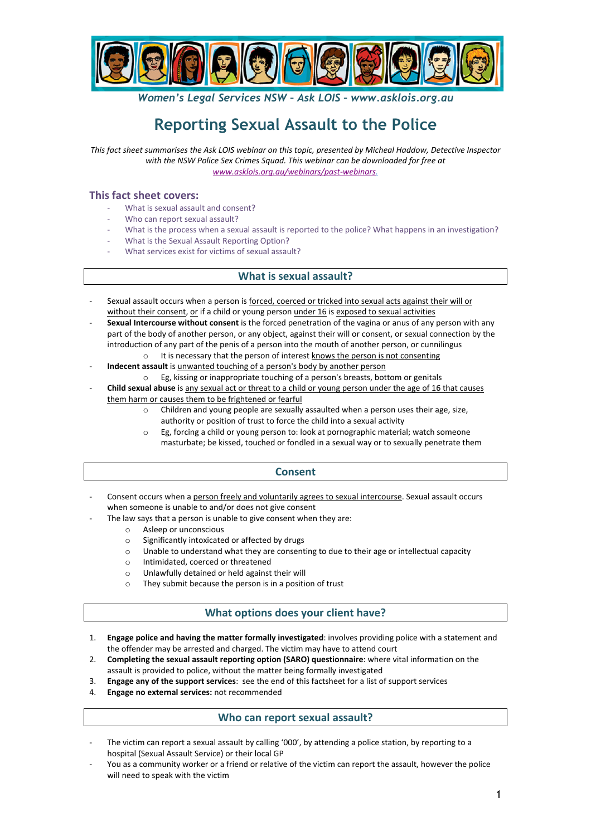

*Women's Legal Services NSW – Ask LOIS – www.asklois.org.au*

# **Reporting Sexual Assault to the Police**

This fact sheet summarises the Ask LOIS webinar on this topic, presented by Micheal Haddow, Detective Inspector with the NSW Police Sex Crimes Squad. This webinar can be downloaded for free at *www.asklois.org.au/webinars/past-webinars.*

## **This fact sheet covers:**

- What is sexual assault and consent?
- Who can report sexual assault?
- What is the process when a sexual assault is reported to the police? What happens in an investigation?
- What is the Sexual Assault Reporting Option?
- What services exist for victims of sexual assault?

## **What is sexual assault?**

- Sexual assault occurs when a person is forced, coerced or tricked into sexual acts against their will or without their consent, or if a child or young person under 16 is exposed to sexual activities
- **Sexual Intercourse without consent** is the forced penetration of the vagina or anus of any person with any part of the body of another person, or any object, against their will or consent, or sexual connection by the introduction of any part of the penis of a person into the mouth of another person, or cunnilingus
	- It is necessary that the person of interest knows the person is not consenting **Indecent assault** is unwanted touching of a person's body by another person
	- o Eg, kissing or inappropriate touching of a person's breasts, bottom or genitals
- **Child sexual abuse** is any sexual act or threat to a child or young person under the age of 16 that causes them harm or causes them to be frightened or fearful
	- $\circ$  Children and young people are sexually assaulted when a person uses their age, size, authority or position of trust to force the child into a sexual activity
		- $\circ$  Eg, forcing a child or young person to: look at pornographic material; watch someone masturbate; be kissed, touched or fondled in a sexual way or to sexually penetrate them

#### **Consent**

- Consent occurs when a person freely and voluntarily agrees to sexual intercourse. Sexual assault occurs when someone is unable to and/or does not give consent
- The law says that a person is unable to give consent when they are:
	- o Asleep or unconscious
	- $\circ$  Significantly intoxicated or affected by drugs
	- $\circ$  Unable to understand what they are consenting to due to their age or intellectual capacity
	- o Intimidated, coerced or threatened
	- $\circ$  Unlawfully detained or held against their will
	- $\circ$  They submit because the person is in a position of trust

# **What options does your client have?**

- 1. **Engage police and having the matter formally investigated**: involves providing police with a statement and the offender may be arrested and charged. The victim may have to attend court
- 2. **Completing the sexual assault reporting option (SARO) questionnaire**: where vital information on the assault is provided to police, without the matter being formally investigated
- 3. **Engage any of the support services**: see the end of this factsheet for a list of support services
- 4. **Engage no external services:** not recommended

## **Who can report sexual assault?**

- The victim can report a sexual assault by calling '000', by attending a police station, by reporting to a hospital (Sexual Assault Service) or their local GP
- You as a community worker or a friend or relative of the victim can report the assault, however the police will need to speak with the victim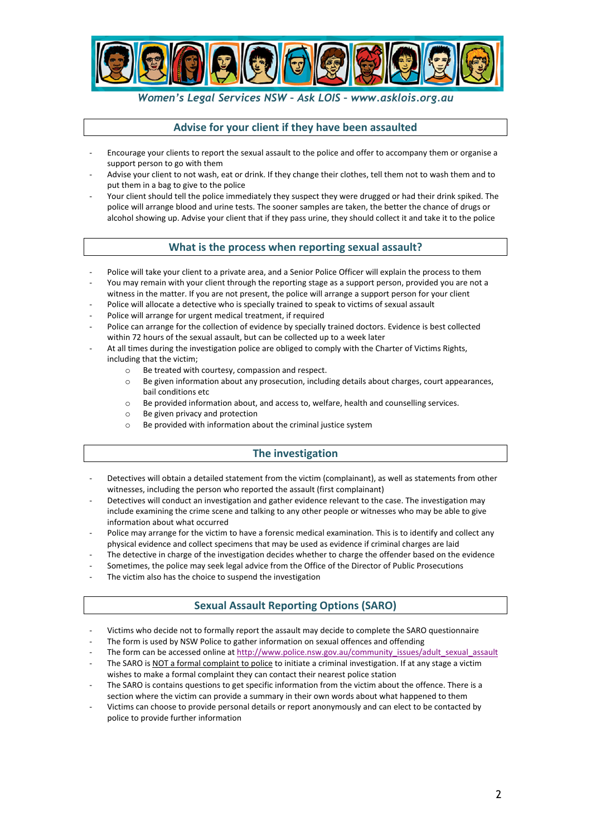

## *Women's Legal Services NSW – Ask LOIS – www.asklois.org.au*

#### Advise for your client if they have been assaulted

- Encourage your clients to report the sexual assault to the police and offer to accompany them or organise a support person to go with them
- Advise your client to not wash, eat or drink. If they change their clothes, tell them not to wash them and to put them in a bag to give to the police
- Your client should tell the police immediately they suspect they were drugged or had their drink spiked. The police will arrange blood and urine tests. The sooner samples are taken, the better the chance of drugs or alcohol showing up. Advise your client that if they pass urine, they should collect it and take it to the police

## **What is the process when reporting sexual assault?**

- Police will take your client to a private area, and a Senior Police Officer will explain the process to them
- You may remain with your client through the reporting stage as a support person, provided you are not a witness in the matter. If you are not present, the police will arrange a support person for your client
- Police will allocate a detective who is specially trained to speak to victims of sexual assault
- Police will arrange for urgent medical treatment, if required
- Police can arrange for the collection of evidence by specially trained doctors. Evidence is best collected within 72 hours of the sexual assault, but can be collected up to a week later
- At all times during the investigation police are obliged to comply with the Charter of Victims Rights, including that the victim;
	- o Be treated with courtesy, compassion and respect.
	- $\circ$  Be given information about any prosecution, including details about charges, court appearances, bail conditions etc
	- $\circ$  Be provided information about, and access to, welfare, health and counselling services.
	- o Be given privacy and protection
	- $\circ$  Be provided with information about the criminal justice system

## **The investigation**

- Detectives will obtain a detailed statement from the victim (complainant), as well as statements from other witnesses, including the person who reported the assault (first complainant)
- Detectives will conduct an investigation and gather evidence relevant to the case. The investigation may include examining the crime scene and talking to any other people or witnesses who may be able to give information about what occurred
- Police may arrange for the victim to have a forensic medical examination. This is to identify and collect any physical evidence and collect specimens that may be used as evidence if criminal charges are laid
- The detective in charge of the investigation decides whether to charge the offender based on the evidence
- Sometimes, the police may seek legal advice from the Office of the Director of Public Prosecutions
- The victim also has the choice to suspend the investigation

## **Sexual Assault Reporting Options (SARO)**

- Victims who decide not to formally report the assault may decide to complete the SARO questionnaire
- The form is used by NSW Police to gather information on sexual offences and offending
- The form can be accessed online at http://www.police.nsw.gov.au/community\_issues/adult\_sexual\_assault
- The SARO is NOT a formal complaint to police to initiate a criminal investigation. If at any stage a victim wishes to make a formal complaint they can contact their nearest police station
- The SARO is contains questions to get specific information from the victim about the offence. There is a section where the victim can provide a summary in their own words about what happened to them
- Victims can choose to provide personal details or report anonymously and can elect to be contacted by police to provide further information